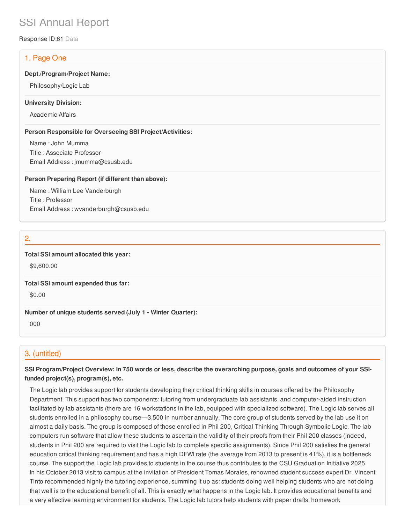# SSI Annual Report

Response ID:61 Data

# 1. Page One

#### **Dept./Program/Project Name:**

Philosophy/Logic Lab

#### **University Division:**

Academic Affairs

#### **Person Responsible for Overseeing SSI Project/Activities:**

Name : John Mumma Title : Associate Professor Email Address : jmumma@csusb.edu

#### **Person Preparing Report (if different than above):**

Name : William Lee Vanderburgh Title : Professor Email Address : wvanderburgh@csusb.edu

# 2.

#### **Total SSI amount allocated this year:**

\$9,600.00

**Total SSI amount expended thus far:**

\$0.00

#### **Number of unique students served (July 1 - Winter Quarter):**

000

## 3. (untitled)

# SSI Program/Project Overview: In 750 words or less, describe the overarching purpose, goals and outcomes of your SSI**funded project(s), program(s), etc.**

The Logic lab provides support for students developing their critical thinking skills in courses offered by the Philosophy Department. This support has two components: tutoring from undergraduate lab assistants, and computer-aided instruction facilitated by lab assistants (there are 16 workstations in the lab, equipped with specialized software). The Logic lab serves all students enrolled in a philosophy course—3,500 in number annually. The core group of students served by the lab use it on almost a daily basis. The group is composed of those enrolled in Phil 200, Critical Thinking Through Symbolic Logic. The lab computers run software that allow these students to ascertain the validity of their proofs from their Phil 200 classes (indeed, students in Phil 200 are required to visit the Logic lab to complete specific assignments). Since Phil 200 satisfies the general education critical thinking requirement and has a high DFWI rate (the average from 2013 to present is 41%), it is a bottleneck course. The support the Logic lab provides to students in the course thus contributes to the CSU Graduation Initiative 2025. In his October 2013 visit to campus at the invitation of President Tomas Morales, renowned student success expert Dr. Vincent Tinto recommended highly the tutoring experience, summing it up as: students doing well helping students who are not doing that well is to the educational benefit of all. This is exactly what happens in the Logic lab. It provides educational benefits and a very effective learning environment for students. The Logic lab tutors help students with paper drafts, homework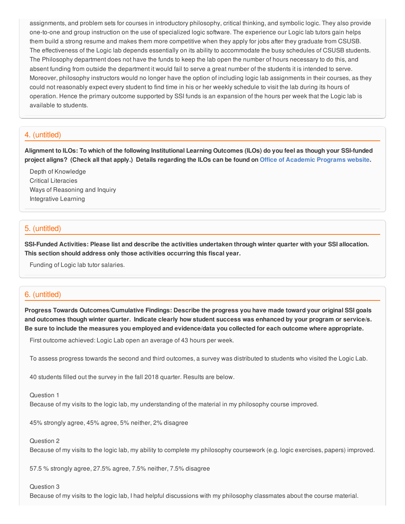assignments, and problem sets for courses in introductory philosophy, critical thinking, and symbolic logic. They also provide one-to-one and group instruction on the use of specialized logic software. The experience our Logic lab tutors gain helps them build a strong resume and makes them more competitive when they apply for jobs after they graduate from CSUSB. The effectiveness of the Logic lab depends essentially on its ability to accommodate the busy schedules of CSUSB students. The Philosophy department does not have the funds to keep the lab open the number of hours necessary to do this, and absent funding from outside the department it would fail to serve a great number of the students it is intended to serve. Moreover, philosophy instructors would no longer have the option of including logic lab assignments in their courses, as they could not reasonably expect every student to find time in his or her weekly schedule to visit the lab during its hours of operation. Hence the primary outcome supported by SSI funds is an expansion of the hours per week that the Logic lab is available to students.

# 4. (untitled)

Alignment to ILOs: To which of the following Institutional Learning Outcomes (ILOs) do you feel as though your SSI-funded project aligns? (Check all that apply.) Details regarding the ILOs can be found on Office of [Academic](https://www.csusb.edu/sites/csusb/files/CSUSB_Institutional_Learning_Outcomes-Endorsed.pdf) Programs website.

Depth of Knowledge Critical Literacies Ways of Reasoning and Inquiry Integrative Learning

## 5. (untitled)

SSI-Funded Activities: Please list and describe the activities undertaken through winter quarter with your SSI allocation. **This section should address only those activities occurring this fiscal year.**

Funding of Logic lab tutor salaries.

# 6. (untitled)

**Progress Towards Outcomes/Cumulative Findings: Describe the progress you have made toward your original SSI goals** and outcomes though winter quarter. Indicate clearly how student success was enhanced by your program or service/s. Be sure to include the measures you employed and evidence/data you collected for each outcome where appropriate.

First outcome achieved: Logic Lab open an average of 43 hours per week.

To assess progress towards the second and third outcomes, a survey was distributed to students who visited the Logic Lab.

40 students filled out the survey in the fall 2018 quarter. Results are below.

#### Question 1

Because of my visits to the logic lab, my understanding of the material in my philosophy course improved.

45% strongly agree, 45% agree, 5% neither, 2% disagree

#### Question 2

Because of my visits to the logic lab, my ability to complete my philosophy coursework (e.g. logic exercises, papers) improved.

57.5 % strongly agree, 27.5% agree, 7.5% neither, 7.5% disagree

#### Question 3

Because of my visits to the logic lab, I had helpful discussions with my philosophy classmates about the course material.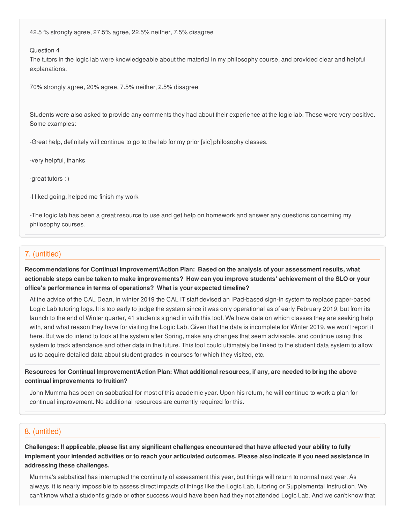42.5 % strongly agree, 27.5% agree, 22.5% neither, 7.5% disagree

Question 4

The tutors in the logic lab were knowledgeable about the material in my philosophy course, and provided clear and helpful explanations.

70% strongly agree, 20% agree, 7.5% neither, 2.5% disagree

Students were also asked to provide any comments they had about their experience at the logic lab. These were very positive. Some examples:

-Great help, definitely will continue to go to the lab for my prior [sic] philosophy classes.

-very helpful, thanks

-great tutors : )

-I liked going, helped me finish my work

-The logic lab has been a great resource to use and get help on homework and answer any questions concerning my philosophy courses.

### 7. (untitled)

**Recommendations for Continual Improvement/Action Plan: Based on the analysis of your assessment results, what** actionable steps can be taken to make improvements? How can you improve students' achievement of the SLO or your **office's performance in terms of operations? What is your expected timeline?**

At the advice of the CAL Dean, in winter 2019 the CAL IT staff devised an iPad-based sign-in system to replace paper-based Logic Lab tutoring logs. It is too early to judge the system since it was only operational as of early February 2019, but from its launch to the end of Winter quarter, 41 students signed in with this tool. We have data on which classes they are seeking help with, and what reason they have for visiting the Logic Lab. Given that the data is incomplete for Winter 2019, we won't report it here. But we do intend to look at the system after Spring, make any changes that seem advisable, and continue using this system to track attendance and other data in the future. This tool could ultimately be linked to the student data system to allow us to acquire detailed data about student grades in courses for which they visited, etc.

Resources for Continual Improvement/Action Plan: What additional resources, if any, are needed to bring the above **continual improvements to fruition?**

John Mumma has been on sabbatical for most of this academic year. Upon his return, he will continue to work a plan for continual improvement. No additional resources are currently required for this.

#### 8. (untitled)

Challenges: If applicable, please list any significant challenges encountered that have affected your ability to fully implement your intended activities or to reach your articulated outcomes. Please also indicate if you need assistance in **addressing these challenges.**

Mumma's sabbatical has interrupted the continuity of assessment this year, but things will return to normal next year. As always, it is nearly impossible to assess direct impacts of things like the Logic Lab, tutoring or Supplemental Instruction. We can't know what a student's grade or other success would have been had they not attended Logic Lab. And we can't know that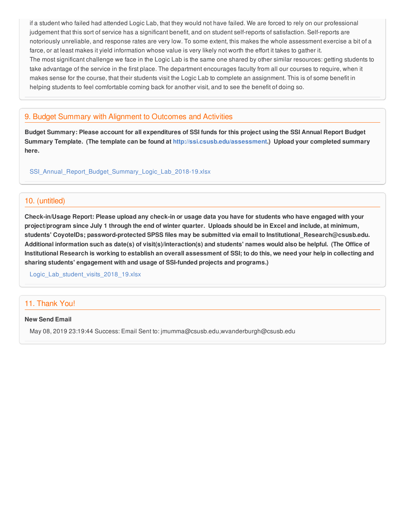if a student who failed had attended Logic Lab, that they would not have failed. We are forced to rely on our professional judgement that this sort of service has a significant benefit, and on student self-reports of satisfaction. Self-reports are notoriously unreliable, and response rates are very low. To some extent, this makes the whole assessment exercise a bit of a farce, or at least makes it yield information whose value is very likely not worth the effort it takes to gather it. The most significant challenge we face in the Logic Lab is the same one shared by other similar resources: getting students to take advantage of the service in the first place. The department encourages faculty from all our courses to require, when it makes sense for the course, that their students visit the Logic Lab to complete an assignment. This is of some benefit in helping students to feel comfortable coming back for another visit, and to see the benefit of doing so.

# 9. Budget Summary with Alignment to Outcomes and Activities

Budget Summary: Please account for all expenditures of SSI funds for this project using the SSI Annual Report Budget **Summary Template. (The template can be found at <http://ssi.csusb.edu/assessment>.) Upload your completed summary here.**

[SSI\\_Annual\\_Report\\_Budget\\_Summary\\_Logic\\_Lab\\_2018-19.xlsx](https://surveygizmoresponseuploads.s3.amazonaws.com/fileuploads/98679/3939151/61-83a5f3646e545b5b72b50675d3aaf3b4_SSI_Annual_Report_Budget_Summary_Logic_Lab_2018-19.xlsx)

### 10. (untitled)

Check-in/Usage Report: Please upload any check-in or usage data you have for students who have engaged with your project/program since July 1 through the end of winter quarter. Uploads should be in Excel and include, at minimum, **students' CoyoteIDs; password-protected SPSS files may be submitted via email to Institutional\_Research@csusb.edu.** Additional information such as date(s) of visit(s)/interaction(s) and students' names would also be helpful. (The Office of Institutional Research is working to establish an overall assessment of SSI; to do this, we need your help in collecting and **sharing students' engagement with and usage of SSI-funded projects and programs.)**

Logic Lab student visits 2018 19.xlsx

# 11. Thank You!

#### **New Send Email**

May 08, 2019 23:19:44 Success: Email Sent to: jmumma@csusb.edu,wvanderburgh@csusb.edu